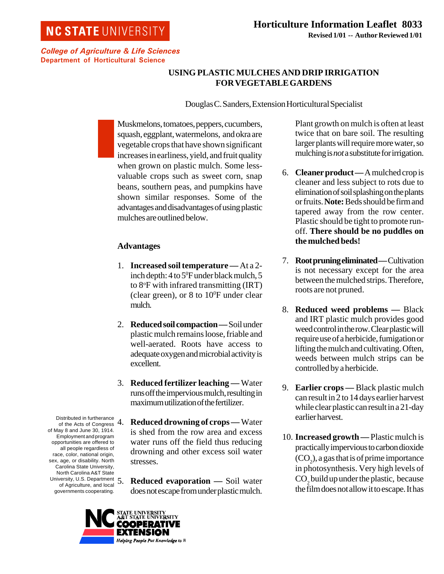# **NC STATE UNIVERSITY**

College of Agriculture & Life Sciences Department of Horticultural Science

# **USING PLASTIC MULCHES AND DRIP IRRIGATION FOR VEGETABLE GARDENS**

Douglas C. Sanders, Extension Horticultural Specialist

Muskmelons, tomatoes, peppers, cucumbers, squash, eggplant, watermelons, and okra are vegetable crops that have shown significant increases in earliness, yield, and fruit quality when grown on plastic mulch. Some lessvaluable crops such as sweet corn, snap beans, southern peas, and pumpkins have shown similar responses. Some of the advantages and disadvantages of using plastic mulches are outlined below.

### **Advantages**

- 1. **Increased soil temperature —** At a 2 inch depth: 4 to 5<sup>o</sup>F under black mulch, 5 to 8°F with infrared transmitting (IRT) (clear green), or 8 to  $10^{\circ}$ F under clear mulch.
- 2. **Reduced soil compaction —** Soil under plastic mulch remains loose, friable and well-aerated. Roots have access to adequate oxygen and microbial activity is excellent.
- 3. **Reduced fertilizer leaching —** Water runs off the impervious mulch, resulting in maximum utilization of the fertilizer.
- 4. **Reduced drowning of crops —** Water is shed from the row area and excess water runs off the field thus reducing drowning and other excess soil water stresses.
	- **Reduced evaporation Soil water** does not escape from under plastic mulch.

Plant growth on mulch is often at least twice that on bare soil. The resulting larger plants will require more water, so mulching is *not* a substitute for irrigation.

- 6. **Cleaner product —** A mulched crop is cleaner and less subject to rots due to elimination of soil splashing on the plants or fruits. **Note:** Beds should be firm and tapered away from the row center. Plastic should be tight to promote runoff. **There should be no puddles on the mulched beds!**
- 7. **Root pruning eliminated —** Cultivation is not necessary except for the area between the mulched strips. Therefore, roots are not pruned.
- 8. **Reduced weed problems —** Black and IRT plastic mulch provides good weed control in the row. Clear plastic will require use of a herbicide, fumigation or lifting the mulch and cultivating. Often, weeds between mulch strips can be controlled by a herbicide.
- 9. **Earlier crops** Black plastic mulch can result in 2 to 14 days earlier harvest while clear plastic can result in a 21-day earlier harvest.
- 10. **Increased growth —** Plastic mulch is practically impervious to carbon dioxide  $(CO_2)$ , a gas that is of prime importance in photosynthesis. Very high levels of  $\mathrm{CO}_2$  build up under the plastic, because the film does not allow it to escape. It has

Distributed in furtherance of the Acts of Congress of May 8 and June 30, 1914. Employment and program opportunities are offered to all people regardless of race, color, national origin, sex, age, or disability. North Carolina State University, North Carolina A&T State North Carolina Au 1988.<br>University, U.S. Department  $\overline{5}$ . of Agriculture, and local governments cooperating.

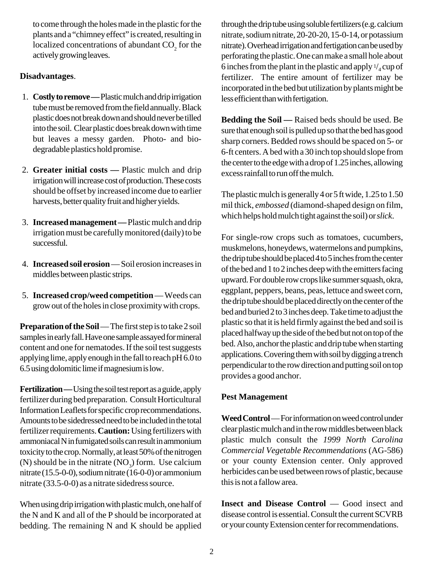to come through the holes made in the plastic for the plants and a "chimney effect" is created, resulting in localized concentrations of abundant  $CO_2$  for the actively growing leaves.

### **Disadvantages**.

- 1. **Costly to remove —** Plastic mulch and drip irrigation tube must be removed from the field annually. Black plastic does not break down and should never be tilled into the soil. Clear plastic does break down with time but leaves a messy garden. Photo- and biodegradable plastics hold promise.
- 2. **Greater initial costs —** Plastic mulch and drip irrigation will increase cost of production. These costs should be offset by increased income due to earlier harvests, better quality fruit and higher yields.
- 3. **Increased management —** Plastic mulch and drip irrigation must be carefully monitored (daily) to be successful.
- 4. **Increased soil erosion** Soil erosion increases in middles between plastic strips.
- 5. **Increased crop/weed competition** Weeds can grow out of the holes in close proximity with crops.

**Preparation of the Soil** — The first step is to take 2 soil samples in early fall. Have one sample assayed for mineral content and one for nematodes. If the soil test suggests applying lime, apply enough in the fall to reach pH 6.0 to 6.5 using dolomitic lime if magnesium is low.

**Fertilization —** Using the soil test report as a guide, apply fertilizer during bed preparation. Consult Horticultural Information Leaflets for specific crop recommendations. Amounts to be sidedressed need to be included in the total fertilizer requirements. **Caution:** Using fertilizers with ammoniacal N in fumigated soils can result in ammonium toxicity to the crop. Normally, at least 50% of the nitrogen (N) should be in the nitrate  $(NO_3)$  form. Use calcium nitrate (15.5-0-0), sodium nitrate (16-0-0) or ammonium nitrate (33.5-0-0) as a nitrate sidedress source.

When using drip irrigation with plastic mulch, one half of the N and K and all of the P should be incorporated at bedding. The remaining N and K should be applied

through the drip tube using soluble fertilizers (e.g. calcium nitrate, sodium nitrate, 20-20-20, 15-0-14, or potassium nitrate). Overhead irrigation and fertigation can be used by perforating the plastic. One can make a small hole about 6 inches from the plant in the plastic and apply  $\frac{1}{4}$  cup of fertilizer. The entire amount of fertilizer may be incorporated in the bed but utilization by plants might be less efficient than with fertigation.

**Bedding the Soil —** Raised beds should be used. Be sure that enough soil is pulled up so that the bed has good sharp corners. Bedded rows should be spaced on 5- or 6-ft centers. A bed with a 30 inch top should slope from the center to the edge with a drop of 1.25 inches, allowing excess rainfall to run off the mulch.

The plastic mulch is generally 4 or 5 ft wide, 1.25 to 1.50 mil thick, *embossed* (diamond-shaped design on film, which helps hold mulch tight against the soil) or *slick*.

For single-row crops such as tomatoes, cucumbers, muskmelons, honeydews, watermelons and pumpkins, the drip tube should be placed 4 to 5 inches from the center of the bed and 1 to 2 inches deep with the emitters facing upward. For double row crops like summer squash, okra, eggplant, peppers, beans, peas, lettuce and sweet corn, the drip tube should be placed directly on the center of the bed and buried 2 to 3 inches deep. Take time to adjust the plastic so that it is held firmly against the bed and soil is placed halfway up the side of the bed but not on top of the bed. Also, anchor the plastic and drip tube when starting applications. Covering them with soil by digging a trench perpendicular to the row direction and putting soil on top provides a good anchor.

#### **Pest Management**

**Weed Control** — For information on weed control under clear plastic mulch and in the row middles between black plastic mulch consult the *1999 North Carolina Commercial Vegetable Recommendations* (AG-586) or your county Extension center. Only approved herbicides can be used between rows of plastic, because this is not a fallow area.

**Insect and Disease Control** — Good insect and disease control is essential. Consult the current SCVRB or your county Extension center for recommendations.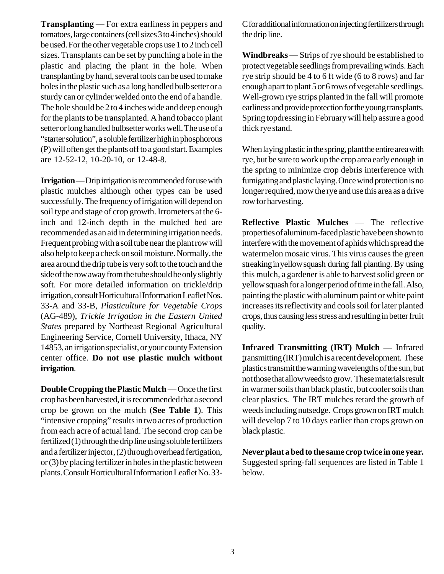**Transplanting** — For extra earliness in peppers and tomatoes, large containers (cell sizes 3 to 4 inches) should be used. For the other vegetable crops use 1 to 2 inch cell sizes. Transplants can be set by punching a hole in the plastic and placing the plant in the hole. When transplanting by hand, several tools can be used to make holes in the plastic such as a long handled bulb setter or a sturdy can or cylinder welded onto the end of a handle. The hole should be 2 to 4 inches wide and deep enough for the plants to be transplanted. A hand tobacco plant setter or long handled bulbsetter works well. The use of a "starter solution", a soluble fertilizer high in phosphorous (P) will often get the plants off to a good start. Examples are 12-52-12, 10-20-10, or 12-48-8.

**Irrigation** — Drip irrigation is recommended for use with plastic mulches although other types can be used successfully. The frequency of irrigation will depend on soil type and stage of crop growth. Irrometers at the 6 inch and 12-inch depth in the mulched bed are recommended as an aid in determining irrigation needs. Frequent probing with a soil tube near the plant row will also help to keep a check on soil moisture. Normally, the area around the drip tube is very soft to the touch and the side of the row away from the tube should be only slightly soft. For more detailed information on trickle/drip irrigation, consult Horticultural Information Leaflet Nos. 33-A and 33-B, *Plasticulture for Vegetable Crops* (AG-489), *Trickle Irrigation in the Eastern United States* prepared by Northeast Regional Agricultural Engineering Service, Cornell University, Ithaca, NY 14853, an irrigation specialist, or your county Extension center office. **Do not use plastic mulch without irrigation**.

**Double Cropping the Plastic Mulch** — Once the first crop has been harvested, it is recommended that a second crop be grown on the mulch (**See Table 1**). This "intensive cropping" results in two acres of production from each acre of actual land. The second crop can be fertilized (1) through the drip line using soluble fertilizers and a fertilizer injector, (2) through overhead fertigation, or (3) by placing fertilizer in holes in the plastic between plants. Consult Horticultural Information Leaflet No. 33C for additional information on injecting fertilizers through the drip line.

**Windbreaks** — Strips of rye should be established to protect vegetable seedlings from prevailing winds. Each rye strip should be 4 to 6 ft wide (6 to 8 rows) and far enough apart to plant 5 or 6 rows of vegetable seedlings. Well-grown rye strips planted in the fall will promote earliness and provide protection for the young transplants. Spring topdressing in February will help assure a good thick rye stand.

When laying plastic in the spring, plant the entire area with rye, but be sure to work up the crop area early enough in the spring to minimize crop debris interference with fumigating and plastic laying. Once wind protection is no longer required, mow the rye and use this area as a drive row for harvesting.

**Reflective Plastic Mulches** — The reflective properties of aluminum-faced plastic have been shown to interfere with the movement of aphids which spread the watermelon mosaic virus. This virus causes the green streaking in yellow squash during fall planting. By using this mulch, a gardener is able to harvest solid green or yellow squash for a longer period of time in the fall. Also, painting the plastic with aluminum paint or white paint increases its reflectivity and cools soil for later planted crops, thus causing less stress and resulting in better fruit quality.

**Infrared Transmitting (IRT) Mulch —** Infrared transmitting (IRT) mulch is a recent development. These plastics transmit the warming wavelengths of the sun, but not those that allow weeds to grow. These materials result in warmer soils than black plastic, but cooler soils than clear plastics. The IRT mulches retard the growth of weeds including nutsedge. Crops grown on IRT mulch will develop 7 to 10 days earlier than crops grown on black plastic.

**Never plant a bed to the same crop twice in one year.** Suggested spring-fall sequences are listed in Table 1 below.